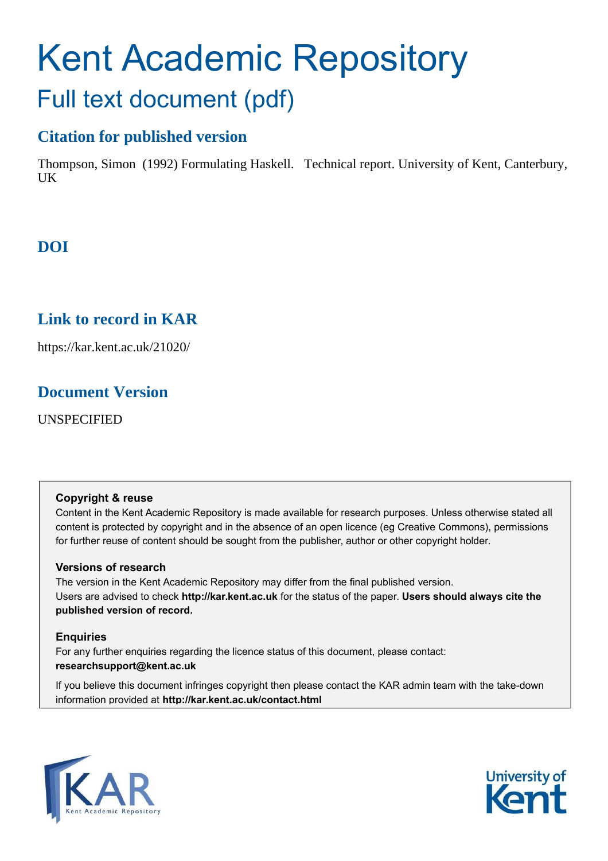# Kent Academic Repository Full text document (pdf)

# **Citation for published version**

Thompson, Simon (1992) Formulating Haskell. Technical report. University of Kent, Canterbury, **IK** 

# **DOI**

# **Link to record in KAR**

https://kar.kent.ac.uk/21020/

# **Document Version**

UNSPECIFIED

# **Copyright & reuse**

Content in the Kent Academic Repository is made available for research purposes. Unless otherwise stated all content is protected by copyright and in the absence of an open licence (eg Creative Commons), permissions for further reuse of content should be sought from the publisher, author or other copyright holder.

# **Versions of research**

The version in the Kent Academic Repository may differ from the final published version. Users are advised to check **http://kar.kent.ac.uk** for the status of the paper. **Users should always cite the published version of record.**

# **Enquiries**

For any further enquiries regarding the licence status of this document, please contact: **researchsupport@kent.ac.uk**

If you believe this document infringes copyright then please contact the KAR admin team with the take-down information provided at **http://kar.kent.ac.uk/contact.html**



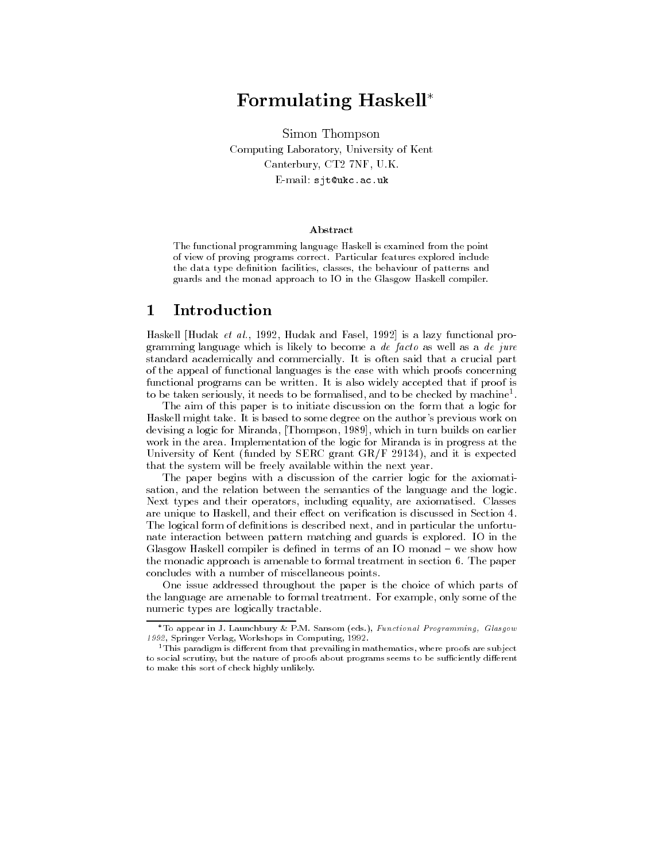# Formulating Haskell

Simon Thompson U University and University University Of the University Canterbury- CT NF- UKe month sjevenser er en e

#### Abstract

The functional programming language Haskell is examined from the point of the U.S. protriety programs correct- the security fraction circular features explored in the data type denition facilities classes the behaviour of patterns and guards and the monad approach to IO in the Glasgow Haskell compiler-

### Introduction

IIWANII IIRRAMI VV WII, IVVII, IIRRAMI WARR I MOVI, IVVII IN W IMB , IRANVIIVAI PIV grammining language which is likely to become a well as a description of the factor and  $\mu$  as a definition as standard a crocracially and commercial commercial and the crocracial said that a crucial that part of of the appeal of functional languages is the ease with which proofs concerning functional programs can be written It is also widely accepted that it is also widely accepted that if proof it to be taken seriously, it needs to be formalised, and to be checked by machine-.

The aim of this paper is to initiate discussion on the form that a logic forHaskell might take It is based to some degree on the authors previous work on which which is a logic for Miranda-Miranda-Miranda-Miranda-Miranda-Miranda-Miranda-Miranda-Miranda-Miranda-Mir work in the area Implementation of the logic for Miranda is in progress at the  $U$  is the section function of  $U = KU$  grants  $G$  for  $U = U + U + V$  with  $W$  is the section that the system will be freely available within the freme year.

The paper begins with a discussion of the carrier of the angel to the axiomatic form of the axiomatic formation sation-the relation-the semantics of the semantics of the logic the logic and the semantics of the logic theor Next types and their operators- including equality- are axiomatised Classes are united to the control weight the the section in the term was and united the section in Section 1. The logical form of denitions is described in and in the unit of the unit of the unit of the unit of the unit nate interaction between pattern matching and guards is explored IO in the Glasgow Haskell compiler is defined in terms of an IO monad - we show how the monadic approach is a monadic and the paper in the property is a section to the paper in the paper in the p concludes with a number of miscellaneous points.

One issue water through the part of the through the part is the choice of which parts of the language are and the computer to formal treatment of the computer in the top of the some numeric types are logically tractable.

To appear in J. Launchbury  $\alpha$  r m. Sansom (eds.), runctional rrogramming, Glasgow  $\mathcal{L}_{\mathcal{L}}$  springer verlag workshops in computing recent

 $^\circ$  Inis paradigm is different from that prevailing in mathematics, where proofs are subject to social scrutingly but the nature of the and about the such seems to such that the such such that the such to make this sort of check highly unlikely-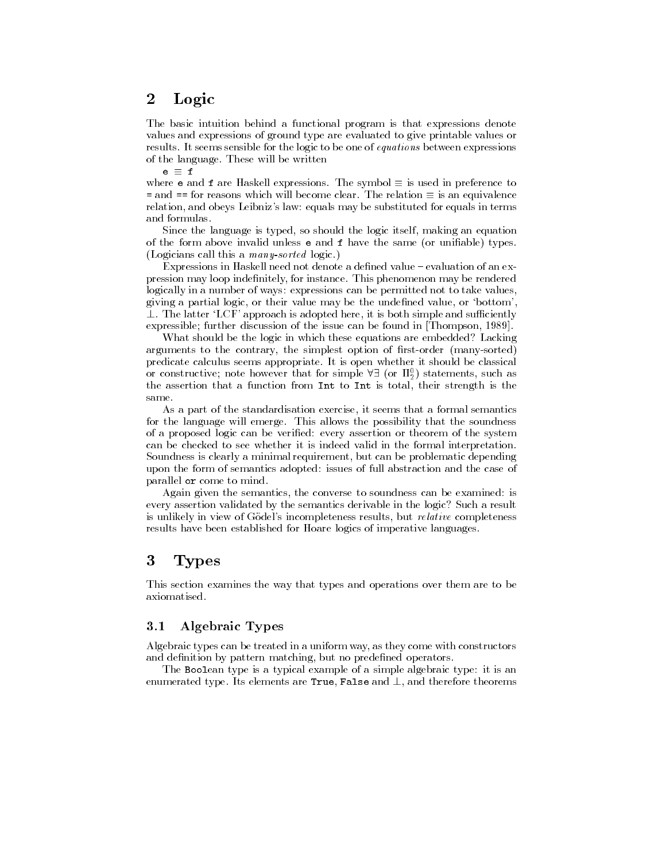#### $\overline{2}$ Logic

The basic intuition behind a functional program is that expressions denote values and expressions of ground type are evaluated to give printable values or results. It seems sensible for the logic to be one of *equations* between expressions of the language These will be written

 $e \equiv f$ 

where e and f are Haskell expressions. The symbol  $\equiv$  is used in preference to  $=$  and  $=$  for reasons which will become clear. The relation  $\equiv$  is an equivalence relation-lating and obeys matches and obeys language contract contract and the substituted for excessive and formulas.

Since the language is typed- so should the logic itself- making an equation of the form above invalid unless  $e$  and  $f$  have the same (or unifiable) types. (Logicians call this a *many-sorted* logic.)

Expressions in Haskell need not denote a defined value – evaluation of an expression may loop indenitely- for instance This phenomenon may be rendered logically in a number of ways: expressions can be permitted not to take values, giving a partial logic-term collection, at the understanding is a collection of — — — — it is a ppromach is adopted here-it is a such such such a such such such such a such such such a such expressible further discussion of the issue can be found in Thompson- 

What should be the logic in which these equations are embedded? Lacking arguments to the contrary-contrary-contrary-contrary-contrary-contrary-contrarypredicate calculus seems appropriate It is open whether it should be classical or constructive; note nowever that for simple  $\vee$   $\exists$  (or  $\Pi_2$ ) statements, such as the assertion that a function from Int to Int is total-theory internal strength is the same.

As a part of the standardisation exercise- it seems that a formal semantics for the language will emerge. This allows the possibility that the soundness of a proposed logic can be verified: every assertion or theorem of the system can be checked to see whether it is indeed valid in the formal interpretation Soundness is clearly a minimal requirement- but can be problematic depending upon the form of semantics adopted: issues of full abstraction and the case of parallel or come to mind

Again given the semantics- the converse to soundness can be examined is every assertion validated by the semantics derivable in the logic? Such a result is unlikely in view of Godels incompleteness results- but relative completeness results have been established for Hoare logics of imperative languages

#### 3 Types

This section examines the way that types and operations over them are to be axiomatised

#### $3.1$ Algebraic Types

Algebraic types can be treated in a uniform way- as they come with constructors and denition by pattern matching- but no predened operators

The Boolean type is a typical example of a simple algebraic type it is an enumerated type Its elements are True- False and -- and therefore theorems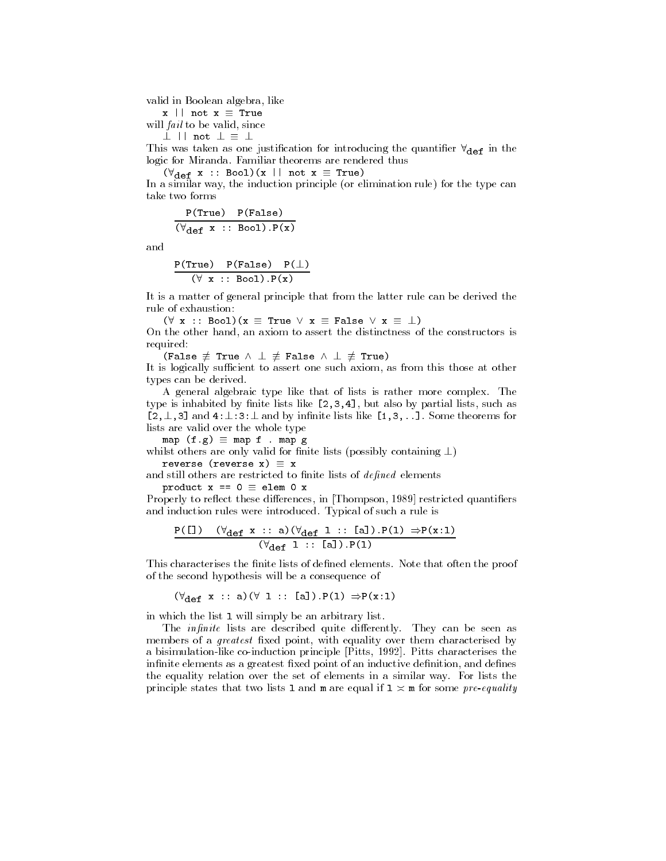<u>valida in Boolean algebra</u>-in Boolean algebra

. . . **. . . . . . . .** 

will just be be valid-

- not --

This was taken as one justication for introducing the quantier def in the logic for Miranda Familiar theorems are rendered thus

 $\alpha$  define a  $\alpha$  is  $\alpha$  and  $\alpha$  in the  $\alpha$  is  $\alpha$   $\alpha$   $\alpha$   $\alpha$   $\alpha$ 

In a similar way- the induction principle or elimination rule for the type can take two forms

$$
\frac{P(\text{True}) \quad P(\text{False})}{(\forall_{\text{def}} \ x \ :: \ \text{Bool}) \ . P(x)}
$$

and

$$
\frac{P(True) \quad P(False) \quad P(\perp)}{(\forall \ x :: Bool).P(x)}
$$

It is a matter of general principle that from the latter rule can be derived the rule of exhaustion

<sup>x</sup> Boolx True <sup>x</sup> False <sup>x</sup> -

On the other hand- an axiom to assert the distinctness of the constructors is required

False True - False - True

It is logically sucient to assert one such axiom- as from this those at other types can be derived

A general algebraic type like that of lists is rather more complex The  $\mathbf{v}_i$  be inhabited by ninter how the  $\mathbf{r}_i$ ,  $\mathbf{v}_j$ , but also by partial now, but as . A local the state of the state of the state of the state of the state of the state of the state of the state o lists are valid over the whole type

 $m \sim p$  for  $m \sim p$  for  $m \sim p$ 

whilst outlies are only valid for nite  $\alpha$  ,  $\beta$  and  $\beta$  are  $\beta$  and  $\beta$ reverse reverse x <sup>x</sup>

and still others are restricted to finite lists of defined elements

product <sup>x</sup> elem <sup>x</sup>

respect, is remain in Thomas dieses and the properties and restricted quantities and induction rules were introduced. Typical of such a rule is

$$
\frac{P(\texttt{[]})\quad (\forall_{\texttt{def}}\ x\ ::\ a)(\forall_{\texttt{def}}\ 1\ ::\ \texttt{[a]}).P(\texttt{I})\ \Rightarrow P(x\ : \texttt{I})}{(\forall_{\texttt{def}}\ 1\ ::\ \texttt{[a]}).P(\texttt{I})}
$$

This characterises the finite lists of defined elements. Note that often the proof of the second hypothesis will be a consequence of

 $\alpha$  and  $\alpha$  is a local particle  $\alpha$  is  $\alpha$  . The particle  $\alpha$ 

in which the list 1 will simply be an arbitrary list.

The *infinite* lists are described quite differently. They can be seen as members of a greatest xed point- with equality over them characterised by a bisimulation in the coinduction principle principle as  $\mathbb{P}^1$  to a fitter the coinding  $\mathbb{P}^1$ innite elements as a greatest xed point of an inductive denition- and denes the equality relation over the set of elements in a similar way For lists the principle states that two lists 1 and  $m$  are equal if  $1 \times m$  for some pre-equality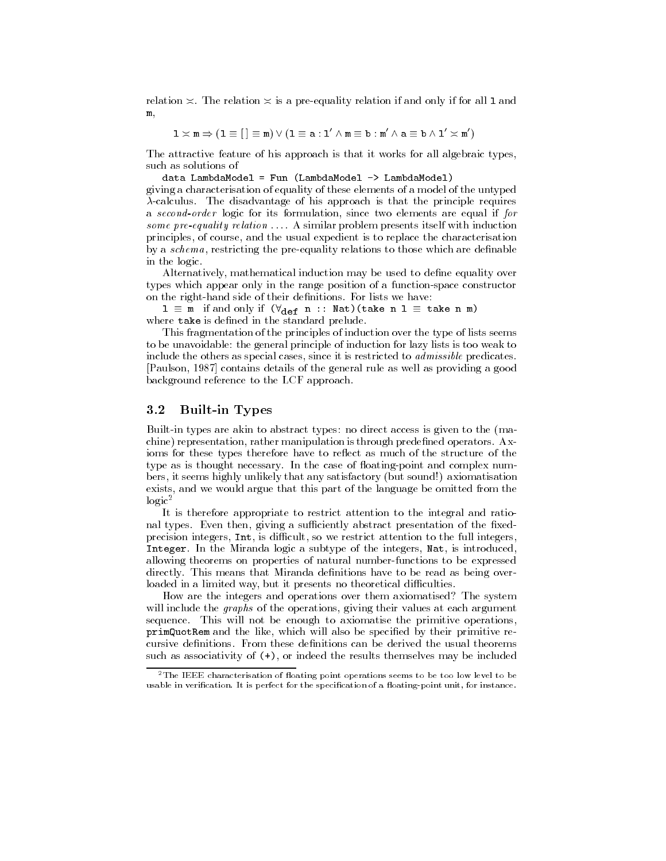relation  $\times$ . The relation  $\times$  is a pre-equality relation if and only if for all 1 and m-

$$
1 \times m \Rightarrow (1 \equiv \lceil \, \rceil \equiv m) \vee (1 \equiv a: 1' \wedge m \equiv b: m' \wedge a \equiv b \wedge 1' \times m')
$$

The attractive feature of his approach is that it works for all algebraic types, such as solutions of

data Lambda Rose Lambda Model Funnya Rose ang Kabupatèn Kabupatèn I giving a characterisation of equality of these elements of a model of the untyped

 $\lambda$ -calculus. The disadvantage of his approach is that the principle requires a secondor algebra for the termination-are employeed and controlled with any area if for some pre-equality relation - - - - - - - - - - problem presents floch with induction  $\blacksquare$  of course-the usual expedient is to  $\blacksquare$ by a schema-restricting the pre-equality relations to these which are denoted in the logic

Alternatively- mathematical induction may be used to dene equality over types which appear only in the range position of a function-space constructor on the right-hand side of their definitions. For lists we have:

 $\mathbf{I} = \mathbf{m}$  if and only if  $\mathbf{v}_0 = \mathbf{u}$  if  $\mathbf{u} \in \mathbb{R}$  if  $\mathbf{v}_0 = \mathbf{u}$  if  $\mathbf{v}_1 = \mathbf{v}$ where take is defined in the standard prelude.

This fragmentation of the principles of induction over the type of lists seems to be unavoidable: the general principle of induction for lazy lists is too weak to include the others as special cases-it since it is restricted to admitted the predicates Paulson- contains details of the general rule as well as providing a good background reference to the LCF approach

#### $3.2$ Built-in Types

Built-in types are akin to abstract types: no direct access is given to the (machine representation-between the rather manipulation-between the control of the control of the control of the c ioms for these types therefore have to reflect as much of the structure of the type as is thought necessary. In the case of floating-point and complex numbers- it seems highly unlikely that any satisfactory but sound axiomatisation exists- and we would argue that this part of the language be omitted from the  $logic<sup>2</sup>$ 

It is therefore appropriate to restrict attention to the integral and ratio nal types Even then- giving a suciently abstract presentation of the xed precision integers, were no animated to attention attention to the ran integers, **Integer** In the Miranda logic a subtype of the integers-mat- is introducedallowing theorems on properties of natural number-functions to be expressed directly. This means that Miranda definitions have to be read as being overloaded in a limited way-time in a limited way-time in a limited way-time in  $\mathbf{b}$ 

How are the integers and operations over them axiomatised? The system will include the graphs of the operations- giving their values at each argument sequence. This will not be enough to axiomatise the primitive operations, **primate the and the like-** which will also be specified by their primitive recursive definitions. From these definitions can be derived the usual theorems such as associativity of  $\sqrt{7}$  of index the results themselves may be included

<sup>-</sup>The IEEE characterisation of oating point operations seems to be too low level to beusable in the specification to the species for a specific for the specification of the specification of the specification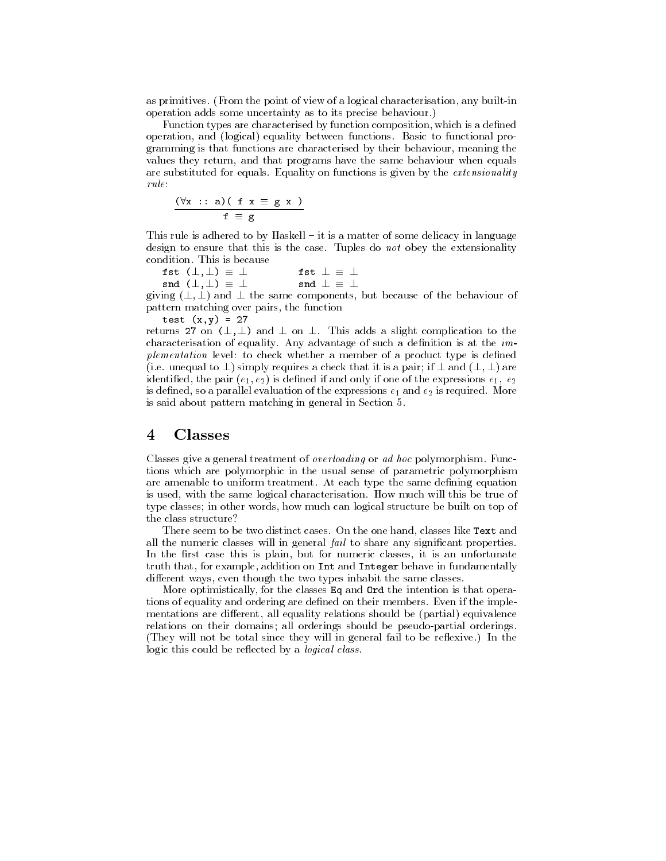as primitives from the point of view of a logical characteristics, any other characteristics operation adds some uncertainty as to its precise behaviour

Function types are characterised by function composition- which is a dened operation- and logical equality between functions Basic to functional pro gramming is that functions are characterised by their behaviour- meaning the values that programs have the same behaviour when equals that programs have the same behaviour when equals the are substituted for equals. Equality on functions is given by the extensionality rule

$$
\frac{(\forall x :: a) (f x \equiv g x)}{f \equiv g}
$$

This rule is adhered to by Haskell  $-$  it is a matter of some delicacy in language design to ensure that this is the case. Tuples do not obey the extensionality condition This is because

fst -- - $-$  -  $$ snd --

 $\alpha$  . The same components of the same components of the behaviour of the behaviour of pattern matching over pairs- the function

#### test xy

returns **a** on  $\left(\pm \right)$  and  $\pm$  on  $\pm$ . This adds a slight complication to the characterisation of equality. Any advantage of such a definition is at the  $im$ plementation level to check whether a member of a product type is dened ie unequal to - simply requires a check that it is a pair if - and - - are identified in pair  $\{ \cdot \mid \cdot \mid \cdot \land \}$  is denoted if the expressions expressions expressions equal  $\{ \cdot \}$ is dened- so a parallel evaluation of the expressions e and e is required More is said about pattern matching in general in Section

#### $\overline{4}$ **Classes**

Classes give a general treatment of *overloading* or ad hoc polymorphism. Functions which are polymorphic in the usual sense of parametric polymorphism are amenable to uniform treatment. At each type the same defining equation is used- with the same logical characterisation How much will this be true of type classes in other words-definition  $\mathcal{C}$ the class structure

There seem to be two distinct cases. On the one hand, classes like Text and all the numeric classes will in general *fail* to share any significant properties. In the rst case this is plain- but for numeric classes- it is an unfortunate truth that, is that the selection on the second that  $\mathcal{A}$  is the fundamental adierent ways- even the types inhabit the same classes in the same classes in the same classes

more optimistically for the classes Eq and Ord the intention is that opera tions of equality and ordering are defined on their members. Even if the implementations are dierent- all equality relations should be partial equivalence relations on their domains; all orderings should be pseudo-partial orderings. (They will not be total since they will in general fail to be reflexive.) In the logic this could be reflected by a *logical class*.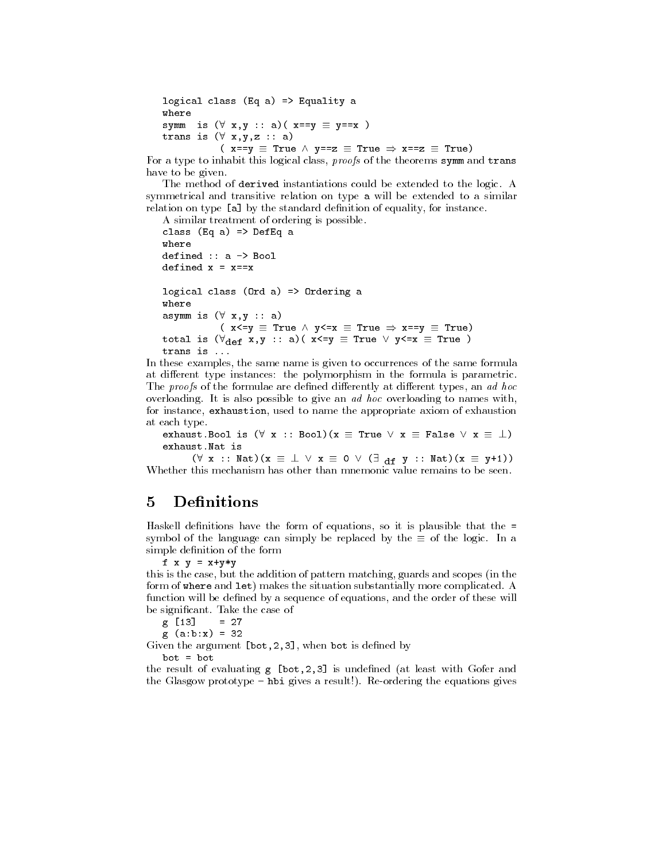```
logical class equality and class experience and class experience and class experience and class experience and
where
symmetry is the symmetry of \sim , we have a symmetry of \simtrans is  xyz  a
```
For a type to inhabit this logical class- proofs of the theorems symm and trans have to be given

xy True yz True xz True

The method of derived instantiations could be extended to the logic A symmetrical and transitive relation on type <sup>a</sup> will be extended to a similar  $\alpha$  is the form of the standard definition of equality-roll instance.

```
A similar treatment of ordering is possible
 class extent and contact and contact and contact and contact and contact and contact and contact and contact a
where
 \cdots where \cdotsa  Boold  a  Boold  a  Boold  a  Boold  a  Boold  a  Boold  a  Boold  a  Boold  a  Boo
 decreased x xxx xxx xxx xxx
 logical class Ord a  Ordering a
where\cdots where \cdotsasymm is  xy  a
                                  \mathbf{x} = \mathbf{y} = \mathbf{y} = \mathbf{y} = \mathbf{y} = \mathbf{y} = \mathbf{y} = \mathbf{y} = \mathbf{y} = \mathbf{y} = \mathbf{y} = \mathbf{y} = \mathbf{y} = \mathbf{y} = \mathbf{y} = \mathbf{y} = \mathbf{y} = \mathbf{y} = \mathbf{y} = \mathbf{y} = \mathbf{y} = \mathbf{y} = \mathbf{y} = \mathbf{y} = \mathbf{y} = \mathbf{y} = \mathbf{y} = \mathbf{y} = \mathbf{y} = \mathbf{y} = \mathbf{y} = \mathbf{to the \sim \sim \alpha and \alpha \sim \alpha \sim \alpha \sim \alpha \sim \alpha \sim \alpha \sim \alpha \sim \alpha
```
In these examples- the same name is given to occurrences of the same formula at different type instances: the polymorphism in the formula is parametric. The proofs of the formulae are dened dierently at dierent types- an ad hoc overloading. It is also possible to give an ad hoc overloading to names with, ref instance, whereas the approximate and appropriate arriving of exhibitions at each type

exhaust Bools is the state  $\lambda$  is  $\lambda$  is the  $\lambda$  is  $\lambda$  . The state  $\lambda$  is  $\lambda$   $\lambda$ 

 $x_1, x_2, x_3, x_4, x_5, x_6, x_7, x_8, x_9, x_1, x_2, x_3, x_4, x_5, x_6, x_7, x_8, x_9, x_1, x_2, x_3, x_4, x_6, x_7, x_8, x_9, x_1, x_2, x_3, x_4, x_6, x_7, x_8, x_9, x_1, x_2, x_3, x_4, x_6, x_7, x_8, x_9, x_1, x_2, x_3, x_4, x_6, x_7, x_8, x_9, x_1, x_2, x_3, x_4, x_6,$  $-1$ 

# $\overline{5}$

trans is

Haskell denitions have the form of equations- so it is plausible that the symbol of the language can simply be replaced by the  $\equiv$  of the logic. In a simple definition of the form

f <sup>x</sup> <sup>y</sup> xyy

this is the addition of pattern matching-distribution of pattern matching-distribution  $\mathbf{r}$ form of where and let) makes the situation substantially more complicated. A function will be dened by a sequence of equations- and the order of these will be significant. Take the case of

g   $= 27$ g abx 

given the arguments of the the collection of the arguments of the collection of the collection of the collection of the collection of the collection of the collection of the collection of the collection of the collection o  $\sim$   $\sim$   $\sim$   $\sim$ 

the result of evaluating  $\alpha$  both  $\alpha$  is understimed for feath with Gofer and the Glasgow prototype  $-$  hbi gives a result!). Re-ordering the equations gives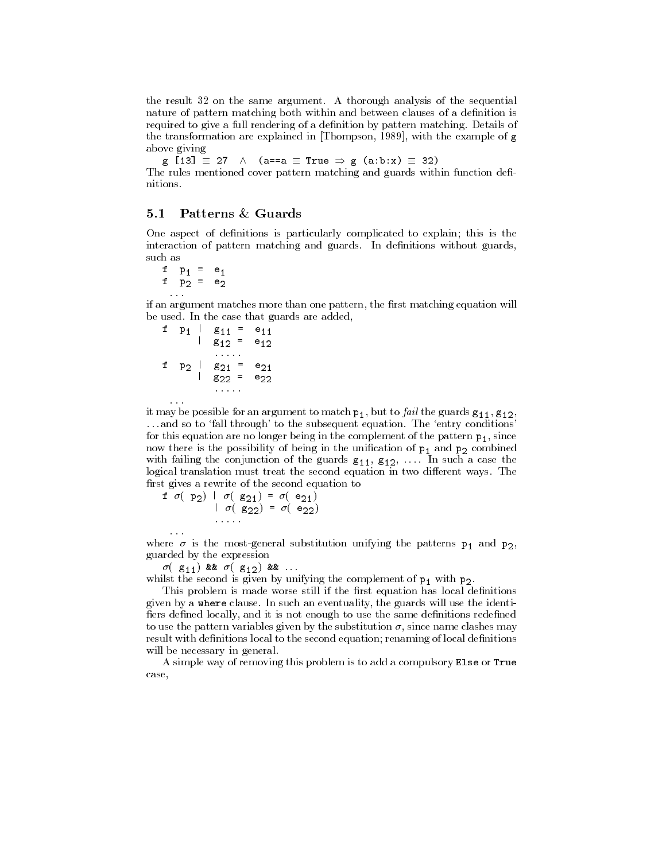the result  $32$  on the same argument. A thorough analysis of the sequential nature of pattern matching both within and between clauses of a definition is required to give a full rendering of a definition by pattern matching. Details of  $\alpha$  is the example of  $\alpha$  are explained in Thompson-Thompson-Thomas example of  $\alpha$ above giving

g  aa True <sup>g</sup> abx 

The rules mentioned cover pattern matching and guards within function de nitions.

#### $5.1$ Patterns & Guards

One aspect of definitions is particularly complicated to explain; this is the interaction of pattern matching and guards. In definitions without guards, such as

- **r** 1 – r *z* – *z* . . .

. . .

. . .

if an argument matches more than one pattern- the rst matching equation will be used. In the case that guards are added,

 $\begin{array}{c|cc} 1 & 0 & 0 & 0 & 0 \\ 0 & 0 & 0 & 0 & 0 \\ 0 & 0 & 0 & 0 & 0 \\ 0 & 0 & 0 & 0 & 0 \\ 0 & 0 & 0 & 0 & 0 \\ 0 & 0 & 0 & 0 & 0 \\ 0 & 0 & 0 & 0 & 0 \\ 0 & 0 & 0 & 0 & 0 \\ 0 & 0 & 0 & 0 & 0 \\ 0 & 0 & 0 & 0 & 0 & 0 \\ 0 & 0 & 0 & 0 & 0 & 0 \\ 0 & 0 & 0 & 0 & 0 & 0 \\ 0 & 0 & 0 & 0 & 0 & 0 \\ 0 &$ . . . . .  $\begin{array}{c|cc} 1 & 2 & 6 & 2 & 6 \ 6 & 2 & 2 & 6 & 6 \ 2 & 2 & 6 & 2 & 6 \end{array}$ 

 $\mathbf{r}_1$ , and the possible for an argument to match  $\mathbf{r}_1$  , such to fail the guards  $\mathsf{O}(1)$  of  $\mathsf{O}(2)$ --- and so to fall through to the subsequent equation The entry conditions for this equation are no longer being in the complement or the pattern p  $_{\parallel}$  , since now there is the possibility of being in the unication of <sup>p</sup> and <sup>p</sup> combined - - - $\frac{1}{2}$  failing the conjunction of the guards  $\frac{1}{2}$  or  $\frac{1}{2}$  ,  $\frac{1}{2}$  ,  $\cdots$  . In such a case the logical translation must treat the second equation in two different ways. The first gives a rewrite of the second equation to

= °\F2/ °\O21/ °\F21/ g e . . . . .

where  $\epsilon$  is the most general substitution unifying the patterns  $\mathbf{r}_1$  unit  $\mathbf{r}_2$ guarded by the expression

, oii) and ( oif) and ( )

whilst the second is given by unifying the complement of  $\mathfrak{p}_1$  with  $\mathfrak{p}_2$ .

This problem is made worse still if the first equation has local definitions given by a mitter clause. In such an eventually, the guards will use the identity ers dened locally- and it is not enough to use the same denitions redened to use the pattern variables given by the substitution - panels manner thanks may result with definitions local to the second equation; renaming of local definitions will be necessary in general.

A simple way of removing this problem is to add a compulsory Else or True case,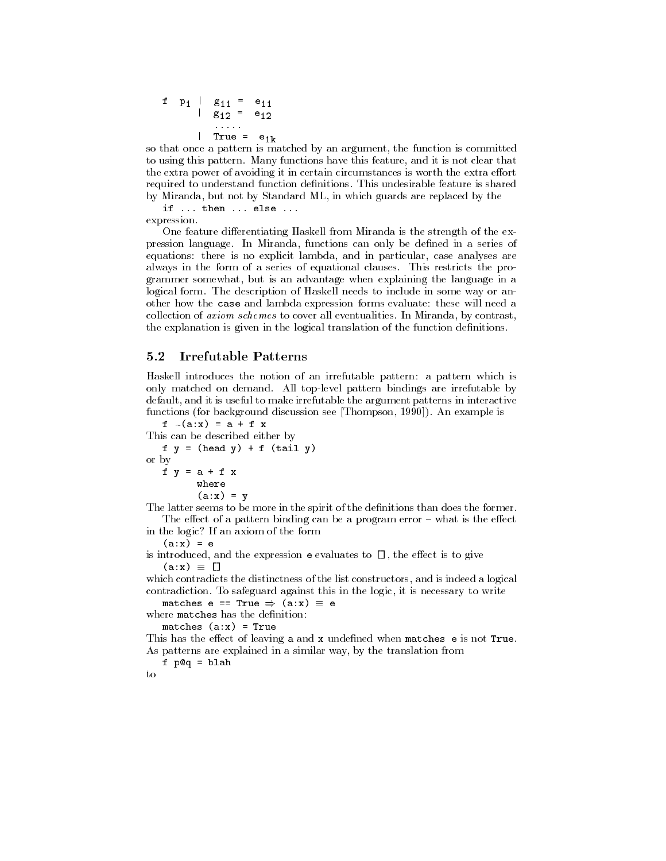$f_{\rm I}$  , the point of  $f_{\rm I}$  $\overline{ }$   $\overline{ }$   $\overline{ }$   $\overline{ }$   $\overline{ }$   $\overline{ }$   $\overline{ }$   $\overline{ }$   $\overline{ }$   $\overline{ }$   $\overline{ }$   $\overline{ }$   $\overline{ }$   $\overline{ }$   $\overline{ }$   $\overline{ }$   $\overline{ }$   $\overline{ }$   $\overline{ }$   $\overline{ }$   $\overline{ }$   $\overline{ }$   $\overline{ }$   $\overline{ }$   $\overline{ }$   $\overline{ }$   $\overline{ }$   $\overline{$  $e_{12}$  $\mathbf{r}$  ,  $\mathbf{r}$  ,  $\mathbf{r}$  ,  $\mathbf{r}$ 

True extensive the extent of  $\mathbf{r}$ so that once a pattern is matched by an argument- the function is committed to using this pattern Many functions have the feature-this feature-that feature-that feature-that is not clear that  $\alpha$ the extra power of avoiding it in certain circumstances is worth the extra effort required to understand function definitions. This undesirable feature is shared by Miranda- but not by Standard ML- in which guards are replaced by the

if it is a then it is a series of the theory of the series of the series of the series of the series of the se

expression

One feature differentiating Haskell from Miranda is the strength of the expression language In Miranda- functions can only be dened in a series of equations there is no explicit lambda- and in particular- case analyses are always in the form of a series of equational clauses This restricts the pro  $\mathbf{a}$ -more somewhat-displaining the language when  $\mathbf{a}_i$  is an advantage in advantage in a advantage in a logical form. The description of Haskell needs to include in some way or another how the case and lambda expression forms evaluate: these will need a collection of axiom schemes to cover all eventualities In Miranda- by contrast the explanation is given in the logical translation of the function definitions.

#### $5.2$  Irrefutable Patterns -

Haskell introduces the notion of an irrefutable pattern a pattern which is only matched on demand. All top-level pattern bindings are irrefutable by default-to-make it is useful to make it is useful to make it is useful to make it is useful to make it is useful to functions for background discussion see Thomas is a set  $\mathbf{A}$  . The see Thompson-

```
\blacksquare and \blacksquare and \blacksquare
This can be described either by
     f y  head y  f tail y
or by
     \sim fyarment \sim for \sim \sim \simm = m\sim \sim \sim \sim \sim \sim
```
The latter seems to be more in the spirit of the definitions than does the former. The effect of a pattern binding can be a program error  $-$  what is the effect

in the logic? If an axiom of the form

is introduced, did the expression  $\bullet$  clusted to is the except is to give ax 

which contradicts the distinction of the list constructors-  $\alpha$  logical and is indeed a logical contradiction To safeguard against the logical structure against the logical structure against the logical structure

matement e sentre avaient e where matches has the definition:

matches and the True and the True and the True and the True and True and True and True and True and True and T

This has the effect of leaving a and x undefined when matches e is not True. ... patterns are explained in a similar way-from the translation from the similar  $\sim$ 

f p-q blah

 $\overline{\phantom{a}}$ 

 $t<sub>0</sub>$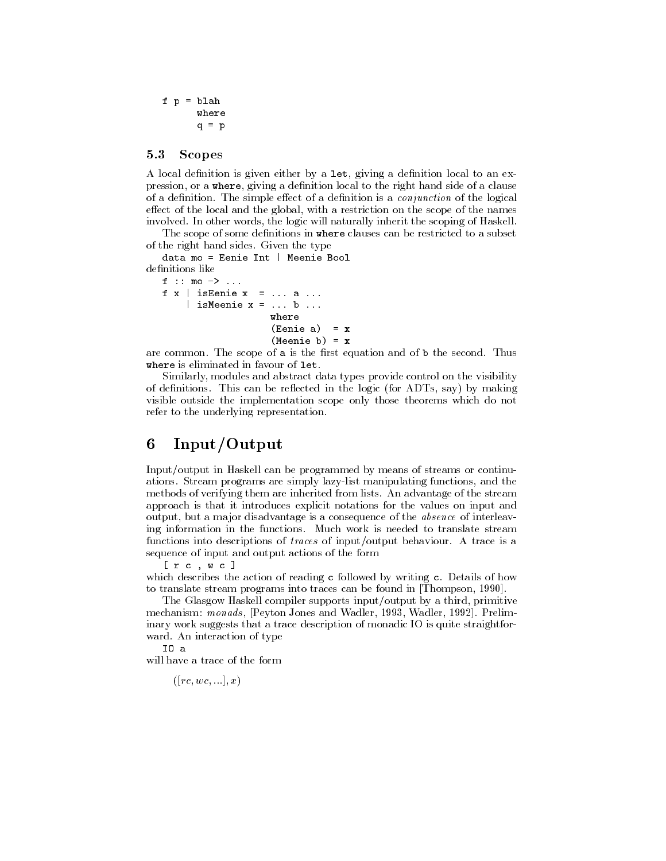$f$   $p$  =  $b$ lah where  $q = p$ 

#### 5.3 Scopes

A local denition is given either by a let- giving a denition local to an ex pression- or a where-  $\alpha$  and  $\alpha$  are accessive to the right denition and side of a clause of a definition. The simple effect of a definition is a *conjunction* of the logical eectricities of the local and the global-docal and the scope of the scope of the scope of the scope of the names of the names of the names of the names of the scope of the names of the names of the names of the names of t involved in other will naturally interesting in the score will naturally in the scoping of  $\mathcal{A}$ 

The scope of some definitions in where clauses can be restricted to a subset of the right hand sides Given the type

data mo = Eenie Int | Meenie Bool definitions like f ::  $mo \rightarrow ...$ f  $x$  | isEenie  $x = ... a ...$  $\vert$  isMeenie x = ... b ... where  $(Enie a) = x$  $(Meenie b) = x$ 

are common. The scope of a is the first equation and of b the second. Thus where is eliminated in favour of let.

Similarly- modules and abstract data types provide control on the visibility of denimitions This can be referred in the logic for ADTs-AD, and ADTs-ADTs-ADTsvisible outside the implementation scope only those theorems which do not refer to the underlying representation

#### 6 Input/Output

Input/output in Haskell can be programmed by means of streams or continuations Stream programs are simply lazylist manipulating functions- and the methods of verifying them are inherited from lists An advantage of the stream approach is that it introduces explicit notations for the values on input and output, and but also disadvantage is a consequence of the absence of interleave ing information in the functions Much work is needed to translate stream functions into descriptions of *traces* of input/output behaviour. A trace is a sequence of input and output actions of the form

 $[\begin{array}{ccc} r & c \end{array}, \begin{array}{ccc} w & c \end{array}]$ 

which describes the action of reading c followed by writing c. Details of how to translate stream programs into traces can be found in Thompson- 

The Glasgow Haskell compiler supports inputoutput by a third- primitive mechanism monads - Peyton Jones and Wadler- - Wadler- Prelim inary work suggests that a trace description of monadic IO is quite straightfor ward. An interaction of type

 $IO$ a

will have a trace of the form

rc wc --- x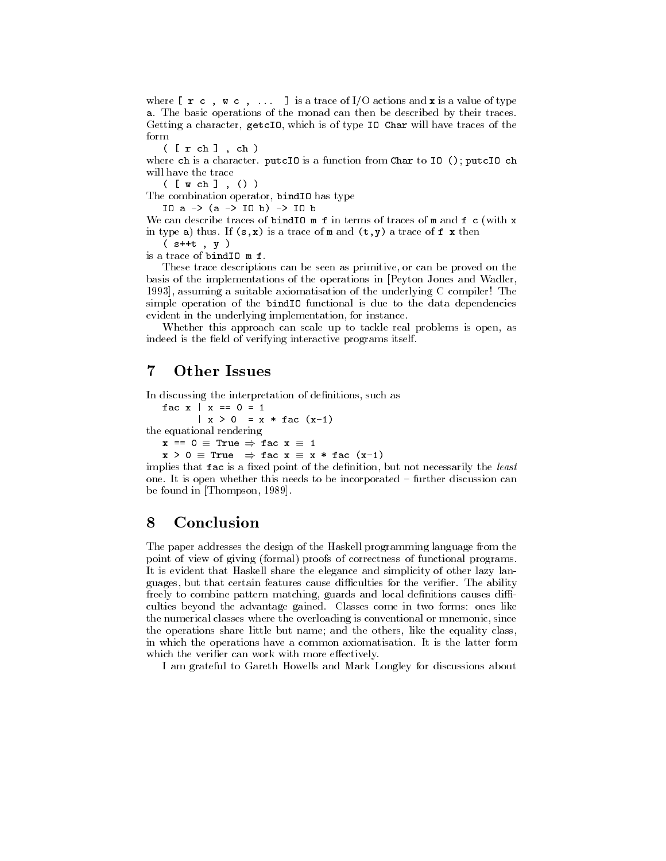where  $\mathbf v$  is a trace is a trace of  $\mathbf w$  and  $\mathbf w$  and  $\mathbf w$  is a value of the  $\mathbf w$ a The basic operations of the monad can the description begins to describe by the monad the described by the d Getting a characteristic group is the interest of the IO Character is the second of the control of the control form

 $([rch], ch)$ 

where che is a character putched is a function from the Co IO of (), putched the will have the trace

 $([w ch], () )$ 

The completent operator- when we have the

10 a 10 a 10 b 10 b 10 b

We can describe traces of **we we we all the traces** of the second of the model of the second traces of the second in type a thus Indian through a trace of model to the trace of the state of the trace of the trace of the trac

 $(s++t, y)$ 

is a trace of bindIO <sup>m</sup> f

These trace descriptions can be seen as primitive-up to can be seen as proved on the basis of the implementations of the operations in Peyton Jones and Wadler-- as a suit contracted as a surveyed and the underlying and the underlying  $\sim$  completely with simple operation of the momentum is due to the data dependence to the dependence to the data dependence. evident in the underlying implementation- for instance

Whether this approach can scale up to tackle real problems is open- as indeed is the field of verifying interactive programs itself.

# $\overline{7}$

in discussing the interpretation of denincially such as

```
fac x  x
```

```
x \sim 1 , we have the fact \sim 1the equational rendering
```
x True fac <sup>x</sup>

x True fac <sup>x</sup> <sup>x</sup> fac x

implies that me to a mitte point of the demittion, such heat necessary the least one It is open whether this needs to be incorporated the canalizer discussion can  $\sim$  . The found in Thompson and the found in Thompson and  $\sim$  . The found in Thompson and  $\sim$ 

# 8

The paper addresses the design of the Haskell programming language from thepoint of view of giving formal proofs of correctness of functional programs It is evident that Haskell share the elegance and simplicity of other lazy lan eguese par chat certain features cause difficulties for the verifier The ability freely to combine pattern matching- guards and local denitions causes di culties beyond the advantage gained Classes comes in the forms ones and the complete the the numerical classes where the overloading is convention or militarities with the operations share interest was harded. When the others-the share construction of the community classin which the operations in the latter and an and the latter and the latter and the latter formation in the la which the verified can work with more increased the very

I was gratteful to Gareth How Miss and Mark Longley for discussions about an about the discussions about the d